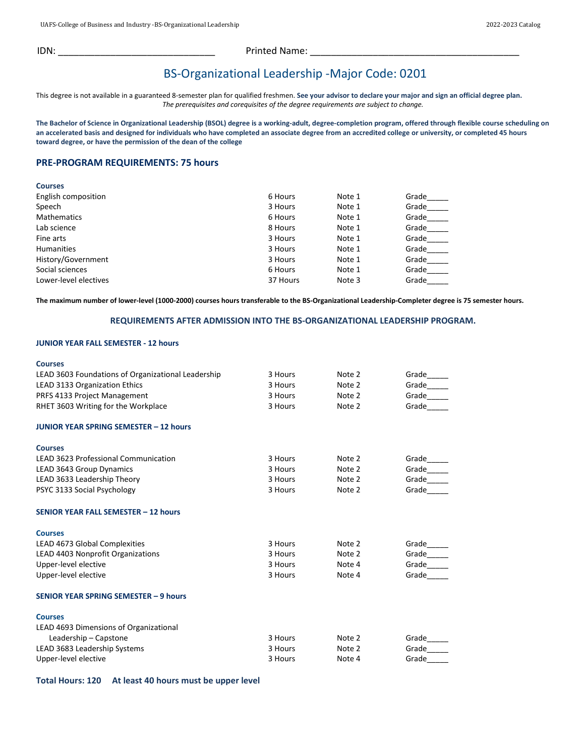IDN: \_\_\_\_\_\_\_\_\_\_\_\_\_\_\_\_\_\_\_\_\_\_\_\_\_\_\_\_\_\_ Printed Name: \_\_\_\_\_\_\_\_\_\_\_\_\_\_\_\_\_\_\_\_\_\_\_\_\_\_\_\_\_\_\_\_\_\_\_\_\_\_\_\_

# BS-Organizational Leadership -Major Code: 0201

This degree is not available in a guaranteed 8-semester plan for qualified freshmen. **See your advisor to declare your major and sign an official degree plan.** *The prerequisites and corequisites of the degree requirements are subject to change.*

The Bachelor of Science in Organizational Leadership (BSOL) degree is a working-adult, degree-completion program, offered through flexible course scheduling on **an accelerated basis and designed for individuals who have completed an associate degree from an accredited college or university, or completed 45 hours toward degree, or have the permission of the dean of the college**

# **PRE-PROGRAM REQUIREMENTS: 75 hours**

| <b>Courses</b>        |          |        |       |
|-----------------------|----------|--------|-------|
| English composition   | 6 Hours  | Note 1 | Grade |
| Speech                | 3 Hours  | Note 1 | Grade |
| <b>Mathematics</b>    | 6 Hours  | Note 1 | Grade |
| Lab science           | 8 Hours  | Note 1 | Grade |
| Fine arts             | 3 Hours  | Note 1 | Grade |
| <b>Humanities</b>     | 3 Hours  | Note 1 | Grade |
| History/Government    | 3 Hours  | Note 1 | Grade |
| Social sciences       | 6 Hours  | Note 1 | Grade |
| Lower-level electives | 37 Hours | Note 3 | Grade |

**The maximum number of lower-level (1000-2000) courses hours transferable to the BS-Organizational Leadership-Completer degree is 75 semester hours.**

### **REQUIREMENTS AFTER ADMISSION INTO THE BS-ORGANIZATIONAL LEADERSHIP PROGRAM.**

#### **JUNIOR YEAR FALL SEMESTER - 12 hours**

| <b>Courses</b>                                     |         |        |       |
|----------------------------------------------------|---------|--------|-------|
| LEAD 3603 Foundations of Organizational Leadership | 3 Hours | Note 2 | Grade |
| <b>LEAD 3133 Organization Ethics</b>               | 3 Hours | Note 2 | Grade |
| PRFS 4133 Project Management                       | 3 Hours | Note 2 | Grade |
| RHET 3603 Writing for the Workplace                | 3 Hours | Note 2 | Grade |
| <b>JUNIOR YEAR SPRING SEMESTER - 12 hours</b>      |         |        |       |
| <b>Courses</b>                                     |         |        |       |
| <b>LEAD 3623 Professional Communication</b>        | 3 Hours | Note 2 | Grade |
| LEAD 3643 Group Dynamics                           | 3 Hours | Note 2 | Grade |
| LEAD 3633 Leadership Theory                        | 3 Hours | Note 2 | Grade |
| PSYC 3133 Social Psychology                        | 3 Hours | Note 2 | Grade |
| SENIOR YEAR FALL SEMESTER - 12 hours               |         |        |       |
| <b>Courses</b>                                     |         |        |       |
| LEAD 4673 Global Complexities                      | 3 Hours | Note 2 | Grade |
| LEAD 4403 Nonprofit Organizations                  | 3 Hours | Note 2 | Grade |
| Upper-level elective                               | 3 Hours | Note 4 | Grade |
| Upper-level elective                               | 3 Hours | Note 4 | Grade |
| SENIOR YEAR SPRING SEMESTER - 9 hours              |         |        |       |
| <b>Courses</b>                                     |         |        |       |
| LEAD 4693 Dimensions of Organizational             |         |        |       |
| Leadership - Capstone                              | 3 Hours | Note 2 | Grade |
| LEAD 3683 Leadership Systems                       | 3 Hours | Note 2 | Grade |
| Upper-level elective                               | 3 Hours | Note 4 | Grade |

**Total Hours: 120 At least 40 hours must be upper level**